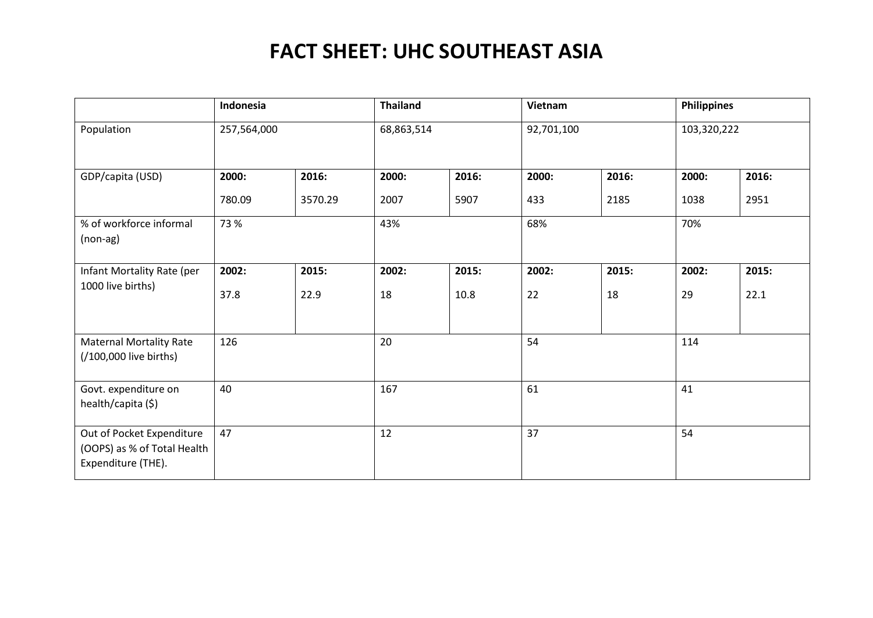|                                                                                | Indonesia   |         | <b>Thailand</b> |       | Vietnam    |       | <b>Philippines</b> |       |
|--------------------------------------------------------------------------------|-------------|---------|-----------------|-------|------------|-------|--------------------|-------|
| Population                                                                     | 257,564,000 |         | 68,863,514      |       | 92,701,100 |       | 103,320,222        |       |
| GDP/capita (USD)                                                               | 2000:       | 2016:   | 2000:           | 2016: | 2000:      | 2016: | 2000:              | 2016: |
|                                                                                | 780.09      | 3570.29 | 2007            | 5907  | 433        | 2185  | 1038               | 2951  |
| % of workforce informal<br>$(non-ag)$                                          | 73 %        |         | 43%             |       | 68%        |       | 70%                |       |
| Infant Mortality Rate (per                                                     | 2002:       | 2015:   | 2002:           | 2015: | 2002:      | 2015: | 2002:              | 2015: |
| 1000 live births)                                                              | 37.8        | 22.9    | 18              | 10.8  | 22         | 18    | 29                 | 22.1  |
| <b>Maternal Mortality Rate</b><br>(/100,000 live births)                       | 126         |         | 20              |       | 54         |       | 114                |       |
| Govt. expenditure on<br>health/capita (\$)                                     | 40          |         | 167             |       | 61         |       | 41                 |       |
| Out of Pocket Expenditure<br>(OOPS) as % of Total Health<br>Expenditure (THE). | 47          |         | 12              |       | 37         |       | 54                 |       |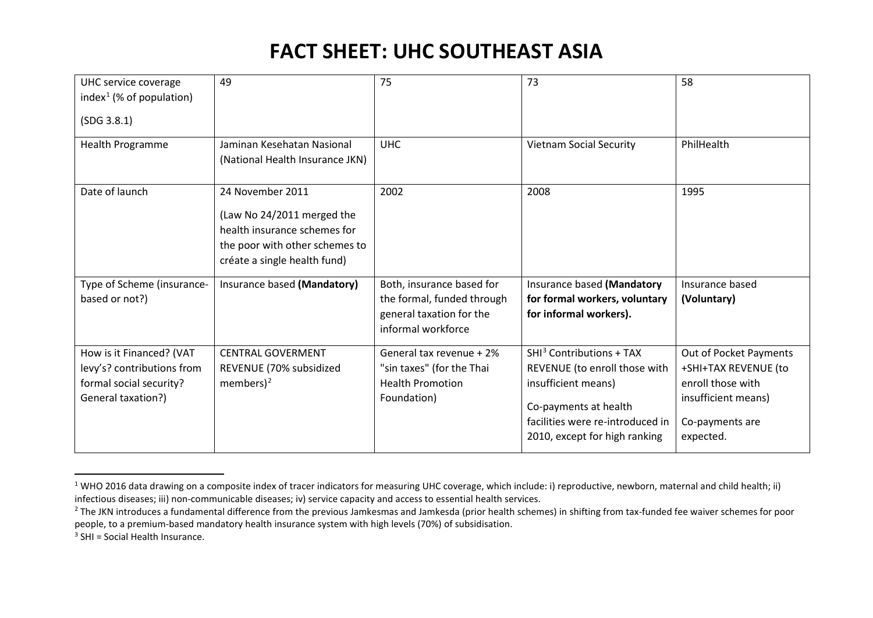<span id="page-1-2"></span><span id="page-1-1"></span><span id="page-1-0"></span>

| UHC service coverage<br>index <sup>1</sup> (% of population)<br>(SDG 3.8.1)                             | 49                                                                                                                                               | 75                                                                                                        | 73                                                                                                                                                                                         | 58                                                                                                                         |
|---------------------------------------------------------------------------------------------------------|--------------------------------------------------------------------------------------------------------------------------------------------------|-----------------------------------------------------------------------------------------------------------|--------------------------------------------------------------------------------------------------------------------------------------------------------------------------------------------|----------------------------------------------------------------------------------------------------------------------------|
| Health Programme                                                                                        | Jaminan Kesehatan Nasional<br>(National Health Insurance JKN)                                                                                    | <b>UHC</b>                                                                                                | <b>Vietnam Social Security</b>                                                                                                                                                             | PhilHealth                                                                                                                 |
| Date of launch                                                                                          | 24 November 2011<br>(Law No 24/2011 merged the<br>health insurance schemes for<br>the poor with other schemes to<br>créate a single health fund) | 2002                                                                                                      | 2008                                                                                                                                                                                       | 1995                                                                                                                       |
| Type of Scheme (insurance-<br>based or not?)                                                            | Insurance based (Mandatory)                                                                                                                      | Both, insurance based for<br>the formal, funded through<br>general taxation for the<br>informal workforce | Insurance based (Mandatory<br>for formal workers, voluntary<br>for informal workers).                                                                                                      | Insurance based<br>(Voluntary)                                                                                             |
| How is it Financed? (VAT<br>levy's? contributions from<br>formal social security?<br>General taxation?) | <b>CENTRAL GOVERMENT</b><br>REVENUE (70% subsidized<br>members) $2$                                                                              | General tax revenue + 2%<br>"sin taxes" (for the Thai<br><b>Health Promotion</b><br>Foundation)           | SHI <sup>3</sup> Contributions + TAX<br>REVENUE (to enroll those with<br>insufficient means)<br>Co-payments at health<br>facilities were re-introduced in<br>2010, except for high ranking | Out of Pocket Payments<br>+SHI+TAX REVENUE (to<br>enroll those with<br>insufficient means)<br>Co-payments are<br>expected. |

 $1$  WHO 2016 data drawing on a composite index of tracer indicators for measuring UHC coverage, which include: i) reproductive, newborn, maternal and child health; ii) infectious diseases; iii) non-communicable diseases; iv) service capacity and access to essential health services.

 $3$  SHI = Social Health Insurance.

 $^{2}$  The JKN introduces a fundamental difference from the previous Jamkesmas and Jamkesda (prior health schemes) in shifting from tax-funded fee waiver schemes for poor people, to a premium-based mandatory health insurance system with high levels (70%) of subsidisation.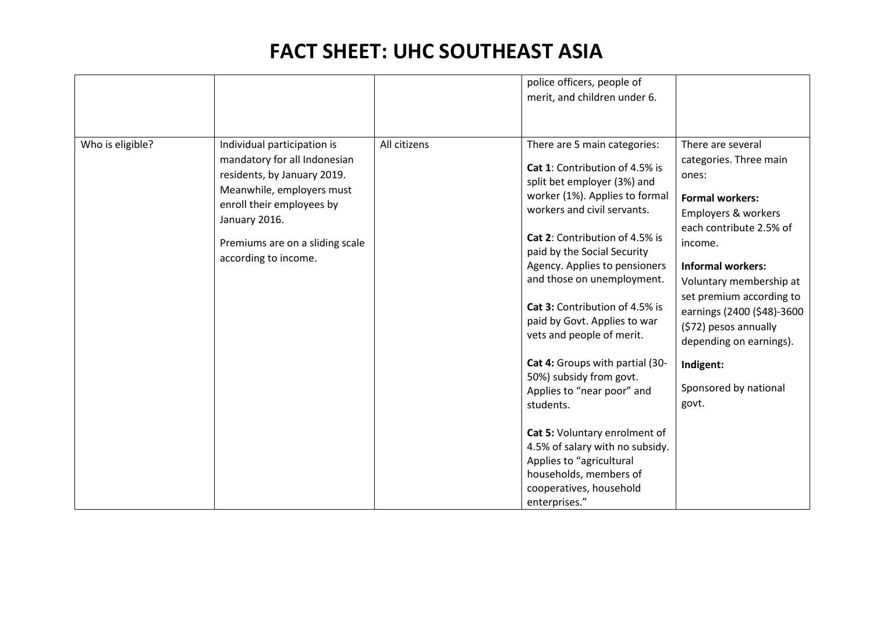|                  |                                                                                                                                                                                                                                  |              | police officers, people of<br>merit, and children under 6.                                                                                                                                                                                                                                                                                                                                                                                                                                                                                                                                                                                                                   |                                                                                                                                                                                                                                                                                                                                                                 |
|------------------|----------------------------------------------------------------------------------------------------------------------------------------------------------------------------------------------------------------------------------|--------------|------------------------------------------------------------------------------------------------------------------------------------------------------------------------------------------------------------------------------------------------------------------------------------------------------------------------------------------------------------------------------------------------------------------------------------------------------------------------------------------------------------------------------------------------------------------------------------------------------------------------------------------------------------------------------|-----------------------------------------------------------------------------------------------------------------------------------------------------------------------------------------------------------------------------------------------------------------------------------------------------------------------------------------------------------------|
| Who is eligible? | Individual participation is<br>mandatory for all Indonesian<br>residents, by January 2019.<br>Meanwhile, employers must<br>enroll their employees by<br>January 2016.<br>Premiums are on a sliding scale<br>according to income. | All citizens | There are 5 main categories:<br>Cat 1: Contribution of 4.5% is<br>split bet employer (3%) and<br>worker (1%). Applies to formal<br>workers and civil servants.<br>Cat 2: Contribution of 4.5% is<br>paid by the Social Security<br>Agency. Applies to pensioners<br>and those on unemployment.<br>Cat 3: Contribution of 4.5% is<br>paid by Govt. Applies to war<br>vets and people of merit.<br>Cat 4: Groups with partial (30-<br>50%) subsidy from govt.<br>Applies to "near poor" and<br>students.<br>Cat 5: Voluntary enrolment of<br>4.5% of salary with no subsidy.<br>Applies to "agricultural<br>households, members of<br>cooperatives, household<br>enterprises." | There are several<br>categories. Three main<br>ones:<br><b>Formal workers:</b><br>Employers & workers<br>each contribute 2.5% of<br>income.<br><b>Informal workers:</b><br>Voluntary membership at<br>set premium according to<br>earnings (2400 (\$48)-3600<br>(\$72) pesos annually<br>depending on earnings).<br>Indigent:<br>Sponsored by national<br>govt. |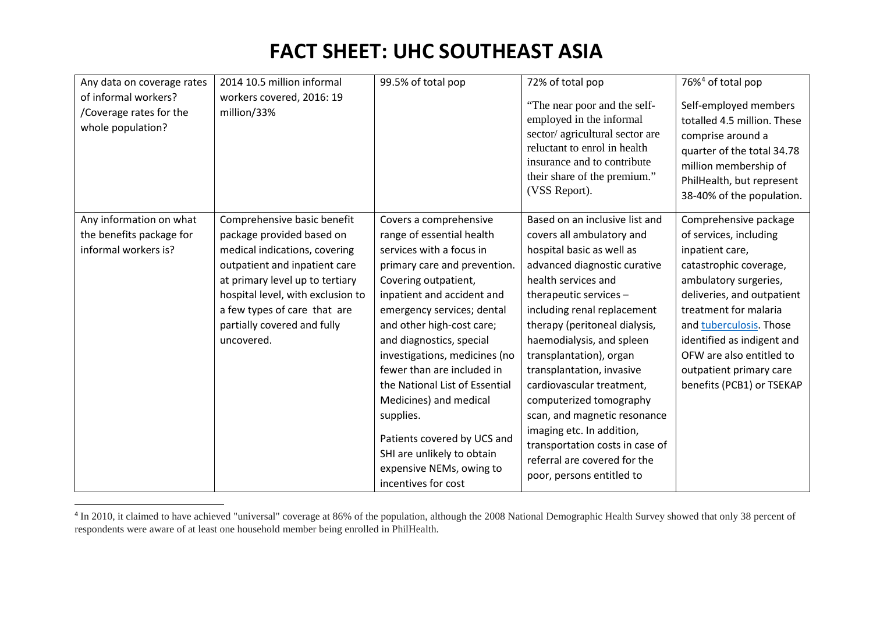<span id="page-3-0"></span>

| Any data on coverage rates                                           | 2014 10.5 million informal               | 99.5% of total pop                              | 72% of total pop                                                                                                                                                                                           | 76% <sup>4</sup> of total pop                                                                                                                                                              |
|----------------------------------------------------------------------|------------------------------------------|-------------------------------------------------|------------------------------------------------------------------------------------------------------------------------------------------------------------------------------------------------------------|--------------------------------------------------------------------------------------------------------------------------------------------------------------------------------------------|
| of informal workers?<br>/Coverage rates for the<br>whole population? | workers covered, 2016: 19<br>million/33% |                                                 | "The near poor and the self-<br>employed in the informal<br>sector/agricultural sector are<br>reluctant to enrol in health<br>insurance and to contribute<br>their share of the premium."<br>(VSS Report). | Self-employed members<br>totalled 4.5 million. These<br>comprise around a<br>quarter of the total 34.78<br>million membership of<br>PhilHealth, but represent<br>38-40% of the population. |
| Any information on what                                              | Comprehensive basic benefit              | Covers a comprehensive                          | Based on an inclusive list and                                                                                                                                                                             | Comprehensive package                                                                                                                                                                      |
| the benefits package for                                             | package provided based on                | range of essential health                       | covers all ambulatory and                                                                                                                                                                                  | of services, including                                                                                                                                                                     |
| informal workers is?                                                 | medical indications, covering            | services with a focus in                        | hospital basic as well as                                                                                                                                                                                  | inpatient care,                                                                                                                                                                            |
|                                                                      | outpatient and inpatient care            | primary care and prevention.                    | advanced diagnostic curative                                                                                                                                                                               | catastrophic coverage,                                                                                                                                                                     |
|                                                                      | at primary level up to tertiary          | Covering outpatient,                            | health services and                                                                                                                                                                                        | ambulatory surgeries,                                                                                                                                                                      |
|                                                                      | hospital level, with exclusion to        | inpatient and accident and                      | therapeutic services -                                                                                                                                                                                     | deliveries, and outpatient                                                                                                                                                                 |
|                                                                      | a few types of care that are             | emergency services; dental                      | including renal replacement                                                                                                                                                                                | treatment for malaria                                                                                                                                                                      |
|                                                                      | partially covered and fully              | and other high-cost care;                       | therapy (peritoneal dialysis,                                                                                                                                                                              | and tuberculosis. Those                                                                                                                                                                    |
|                                                                      | uncovered.                               | and diagnostics, special                        | haemodialysis, and spleen                                                                                                                                                                                  | identified as indigent and                                                                                                                                                                 |
|                                                                      |                                          | investigations, medicines (no                   | transplantation), organ                                                                                                                                                                                    | OFW are also entitled to                                                                                                                                                                   |
|                                                                      |                                          | fewer than are included in                      | transplantation, invasive                                                                                                                                                                                  | outpatient primary care                                                                                                                                                                    |
|                                                                      |                                          | the National List of Essential                  | cardiovascular treatment,                                                                                                                                                                                  | benefits (PCB1) or TSEKAP                                                                                                                                                                  |
|                                                                      |                                          | Medicines) and medical                          | computerized tomography                                                                                                                                                                                    |                                                                                                                                                                                            |
|                                                                      |                                          | supplies.                                       | scan, and magnetic resonance                                                                                                                                                                               |                                                                                                                                                                                            |
|                                                                      |                                          |                                                 | imaging etc. In addition,                                                                                                                                                                                  |                                                                                                                                                                                            |
|                                                                      |                                          | Patients covered by UCS and                     | transportation costs in case of                                                                                                                                                                            |                                                                                                                                                                                            |
|                                                                      |                                          | SHI are unlikely to obtain                      | referral are covered for the                                                                                                                                                                               |                                                                                                                                                                                            |
|                                                                      |                                          | expensive NEMs, owing to<br>incentives for cost | poor, persons entitled to                                                                                                                                                                                  |                                                                                                                                                                                            |

<sup>&</sup>lt;sup>4</sup> In 2010, it claimed to have achieved "universal" coverage at 86% of the population, although the 2008 National Demographic Health Survey showed that only 38 percent of respondents were aware of at least one household member being enrolled in PhilHealth.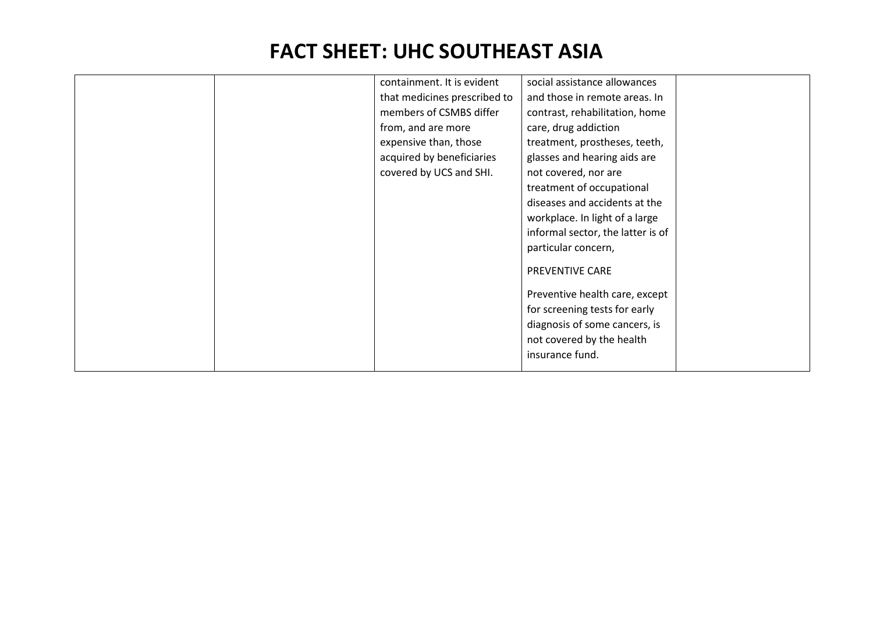|  | containment. It is evident<br>that medicines prescribed to<br>members of CSMBS differ<br>from, and are more<br>expensive than, those<br>acquired by beneficiaries<br>covered by UCS and SHI. | social assistance allowances<br>and those in remote areas. In<br>contrast, rehabilitation, home<br>care, drug addiction<br>treatment, prostheses, teeth,<br>glasses and hearing aids are<br>not covered, nor are<br>treatment of occupational<br>diseases and accidents at the<br>workplace. In light of a large<br>informal sector, the latter is of<br>particular concern,<br>PREVENTIVE CARE<br>Preventive health care, except<br>for screening tests for early<br>diagnosis of some cancers, is<br>not covered by the health |  |
|--|----------------------------------------------------------------------------------------------------------------------------------------------------------------------------------------------|----------------------------------------------------------------------------------------------------------------------------------------------------------------------------------------------------------------------------------------------------------------------------------------------------------------------------------------------------------------------------------------------------------------------------------------------------------------------------------------------------------------------------------|--|
|  |                                                                                                                                                                                              | insurance fund.                                                                                                                                                                                                                                                                                                                                                                                                                                                                                                                  |  |